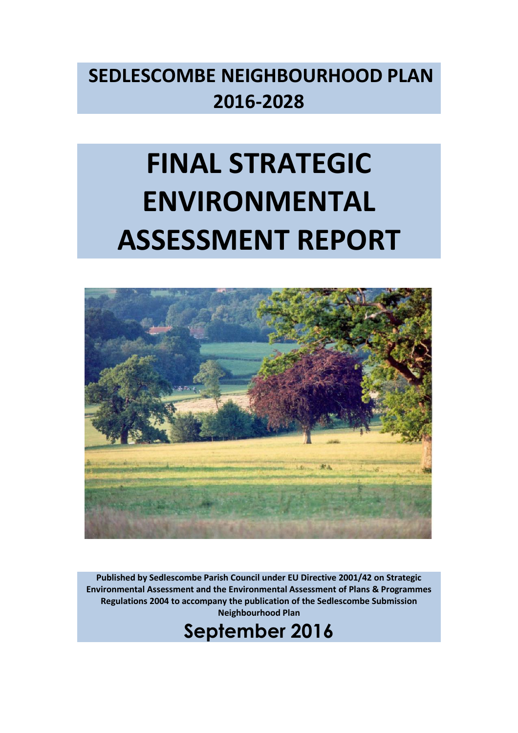# **SEDLESCOMBE NEIGHBOURHOOD PLAN 2016-2028**

# **FINAL STRATEGIC ENVIRONMENTAL ASSESSMENT REPORT**



**Published by Sedlescombe Parish Council under EU Directive 2001/42 on Strategic Environmental Assessment and the Environmental Assessment of Plans & Programmes Regulations 2004 to accompany the publication of the Sedlescombe Submission Neighbourhood Plan**

**September 2016**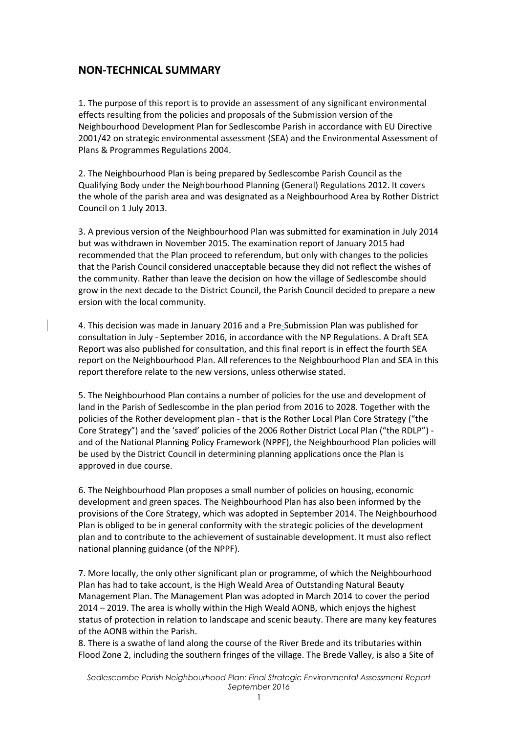# **NON-TECHNICAL SUMMARY**

1. The purpose of this report is to provide an assessment of any significant environmental effects resulting from the policies and proposals of the Submission version of the Neighbourhood Development Plan for Sedlescombe Parish in accordance with EU Directive 2001/42 on strategic environmental assessment (SEA) and the Environmental Assessment of Plans & Programmes Regulations 2004.

2. The Neighbourhood Plan is being prepared by Sedlescombe Parish Council as the Qualifying Body under the Neighbourhood Planning (General) Regulations 2012. It covers the whole of the parish area and was designated as a Neighbourhood Area by Rother District Council on 1 July 2013.

3. A previous version of the Neighbourhood Plan was submitted for examination in July 2014 but was withdrawn in November 2015. The examination report of January 2015 had recommended that the Plan proceed to referendum, but only with changes to the policies that the Parish Council considered unacceptable because they did not reflect the wishes of the community. Rather than leave the decision on how the village of Sedlescombe should grow in the next decade to the District Council, the Parish Council decided to prepare a new ersion with the local community.

4. This decision was made in January 2016 and a Pre-Submission Plan was published for consultation in July - September 2016, in accordance with the NP Regulations. A Draft SEA Report was also published for consultation, and this final report is in effect the fourth SEA report on the Neighbourhood Plan. All references to the Neighbourhood Plan and SEA in this report therefore relate to the new versions, unless otherwise stated.

5. The Neighbourhood Plan contains a number of policies for the use and development of land in the Parish of Sedlescombe in the plan period from 2016 to 2028. Together with the policies of the Rother development plan - that is the Rother Local Plan Core Strategy ("the Core Strategy") and the 'saved' policies of the 2006 Rother District Local Plan ("the RDLP") and of the National Planning Policy Framework (NPPF), the Neighbourhood Plan policies will be used by the District Council in determining planning applications once the Plan is approved in due course.

6. The Neighbourhood Plan proposes a small number of policies on housing, economic development and green spaces. The Neighbourhood Plan has also been informed by the provisions of the Core Strategy, which was adopted in September 2014. The Neighbourhood Plan is obliged to be in general conformity with the strategic policies of the development plan and to contribute to the achievement of sustainable development. It must also reflect national planning guidance (of the NPPF).

7. More locally, the only other significant plan or programme, of which the Neighbourhood Plan has had to take account, is the High Weald Area of Outstanding Natural Beauty Management Plan. The Management Plan was adopted in March 2014 to cover the period 2014 – 2019. The area is wholly within the High Weald AONB, which enjoys the highest status of protection in relation to landscape and scenic beauty. There are many key features of the AONB within the Parish.

8. There is a swathe of land along the course of the River Brede and its tributaries within Flood Zone 2, including the southern fringes of the village. The Brede Valley, is also a Site of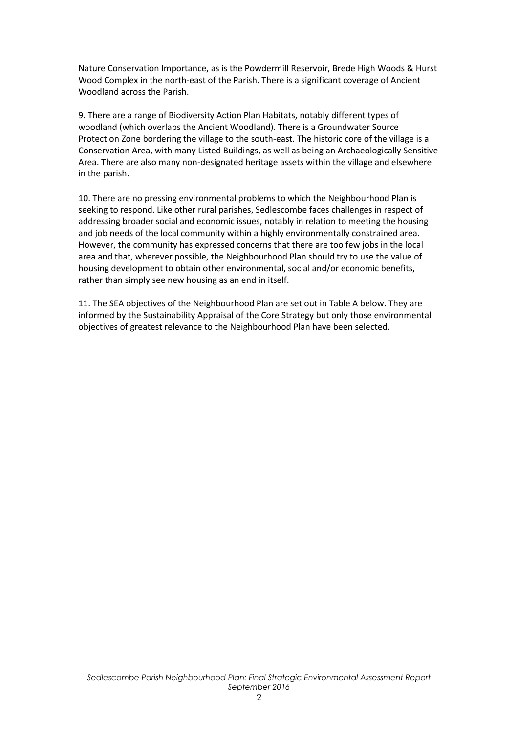Nature Conservation Importance, as is the Powdermill Reservoir, Brede High Woods & Hurst Wood Complex in the north-east of the Parish. There is a significant coverage of Ancient Woodland across the Parish.

9. There are a range of Biodiversity Action Plan Habitats, notably different types of woodland (which overlaps the Ancient Woodland). There is a Groundwater Source Protection Zone bordering the village to the south-east. The historic core of the village is a Conservation Area, with many Listed Buildings, as well as being an Archaeologically Sensitive Area. There are also many non-designated heritage assets within the village and elsewhere in the parish.

10. There are no pressing environmental problems to which the Neighbourhood Plan is seeking to respond. Like other rural parishes, Sedlescombe faces challenges in respect of addressing broader social and economic issues, notably in relation to meeting the housing and job needs of the local community within a highly environmentally constrained area. However, the community has expressed concerns that there are too few jobs in the local area and that, wherever possible, the Neighbourhood Plan should try to use the value of housing development to obtain other environmental, social and/or economic benefits, rather than simply see new housing as an end in itself.

11. The SEA objectives of the Neighbourhood Plan are set out in Table A below. They are informed by the Sustainability Appraisal of the Core Strategy but only those environmental objectives of greatest relevance to the Neighbourhood Plan have been selected.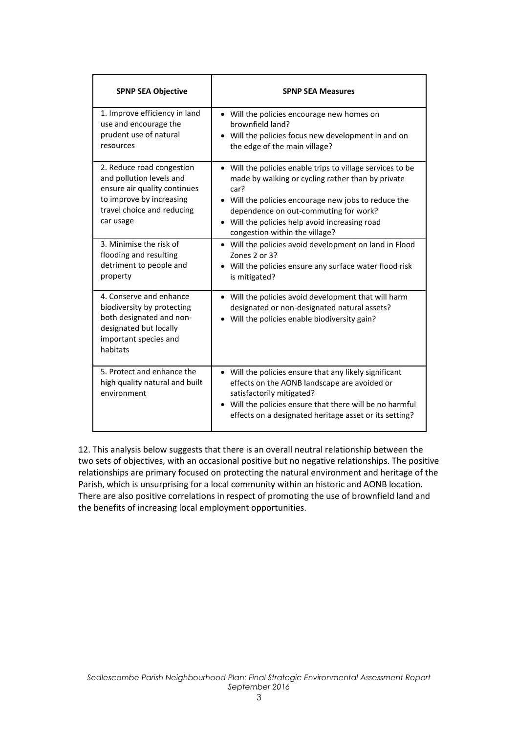| <b>SPNP SEA Objective</b>                                                                                                                                    | <b>SPNP SEA Measures</b>                                                                                                                                                                                                                                                                                     |
|--------------------------------------------------------------------------------------------------------------------------------------------------------------|--------------------------------------------------------------------------------------------------------------------------------------------------------------------------------------------------------------------------------------------------------------------------------------------------------------|
| 1. Improve efficiency in land<br>use and encourage the<br>prudent use of natural<br>resources                                                                | • Will the policies encourage new homes on<br>hrownfield land?<br>• Will the policies focus new development in and on<br>the edge of the main village?                                                                                                                                                       |
| 2. Reduce road congestion<br>and pollution levels and<br>ensure air quality continues<br>to improve by increasing<br>travel choice and reducing<br>car usage | • Will the policies enable trips to village services to be<br>made by walking or cycling rather than by private<br>car?<br>• Will the policies encourage new jobs to reduce the<br>dependence on out-commuting for work?<br>• Will the policies help avoid increasing road<br>congestion within the village? |
| 3. Minimise the risk of<br>flooding and resulting<br>detriment to people and<br>property                                                                     | • Will the policies avoid development on land in Flood<br>Zones $2$ or $3$ ?<br>Will the policies ensure any surface water flood risk<br>is mitigated?                                                                                                                                                       |
| 4. Conserve and enhance<br>biodiversity by protecting<br>both designated and non-<br>designated but locally<br>important species and<br>habitats             | • Will the policies avoid development that will harm<br>designated or non-designated natural assets?<br>Will the policies enable biodiversity gain?                                                                                                                                                          |
| 5. Protect and enhance the<br>high quality natural and built<br>environment                                                                                  | Will the policies ensure that any likely significant<br>$\bullet$<br>effects on the AONB landscape are avoided or<br>satisfactorily mitigated?<br>Will the policies ensure that there will be no harmful<br>effects on a designated heritage asset or its setting?                                           |

12. This analysis below suggests that there is an overall neutral relationship between the two sets of objectives, with an occasional positive but no negative relationships. The positive relationships are primary focused on protecting the natural environment and heritage of the Parish, which is unsurprising for a local community within an historic and AONB location. There are also positive correlations in respect of promoting the use of brownfield land and the benefits of increasing local employment opportunities.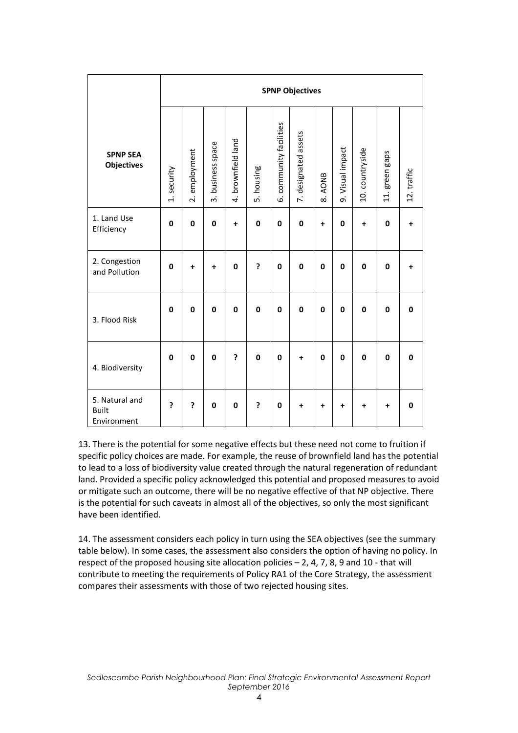|                                               |             | <b>SPNP Objectives</b> |                      |                    |            |                         |                      |                        |                  |                 |                |             |
|-----------------------------------------------|-------------|------------------------|----------------------|--------------------|------------|-------------------------|----------------------|------------------------|------------------|-----------------|----------------|-------------|
| <b>SPNP SEA</b><br><b>Objectives</b>          | 1. security | 2. employment          | business space<br>ന് | 4. brownfield land | 5. housing | 6. community facilities | 7. designated assets | AONB<br>$\dot{\infty}$ | 9. Visual impact | 10. countryside | 11. green gaps | 12. traffic |
| 1. Land Use<br>Efficiency                     | 0           | $\mathbf 0$            | $\mathbf 0$          | $\ddotmark$        | 0          | $\mathbf 0$             | $\mathbf 0$          | $\ddot{}$              | 0                | $\ddot{}$       | $\mathbf 0$    | $\ddot{}$   |
| 2. Congestion<br>and Pollution                | 0           | $\ddot{}$              | $\ddot{}$            | $\mathbf{0}$       | ŗ          | $\mathbf 0$             | $\mathbf 0$          | 0                      | $\mathbf 0$      | $\mathbf 0$     | $\mathbf 0$    | $\ddot{}$   |
| 3. Flood Risk                                 | 0           | $\mathbf 0$            | $\mathbf 0$          | $\mathbf{0}$       | 0          | $\mathbf 0$             | $\mathbf 0$          | 0                      | $\mathbf 0$      | 0               | 0              | 0           |
| 4. Biodiversity                               | 0           | $\mathbf 0$            | $\mathbf 0$          | 5                  | 0          | $\mathbf 0$             | $\ddot{}$            | 0                      | $\mathbf 0$      | 0               | 0              | 0           |
| 5. Natural and<br><b>Built</b><br>Environment | ?           | ?                      | $\bf{0}$             | 0                  | ė.         | $\mathbf 0$             | +                    | $\ddot{}$              | Ŧ                | $\ddot{}$       | $\ddot{}$      | 0           |

13. There is the potential for some negative effects but these need not come to fruition if specific policy choices are made. For example, the reuse of brownfield land has the potential to lead to a loss of biodiversity value created through the natural regeneration of redundant land. Provided a specific policy acknowledged this potential and proposed measures to avoid or mitigate such an outcome, there will be no negative effective of that NP objective. There is the potential for such caveats in almost all of the objectives, so only the most significant have been identified.

14. The assessment considers each policy in turn using the SEA objectives (see the summary table below). In some cases, the assessment also considers the option of having no policy. In respect of the proposed housing site allocation policies – 2, 4, 7, 8, 9 and 10 - that will contribute to meeting the requirements of Policy RA1 of the Core Strategy, the assessment compares their assessments with those of two rejected housing sites.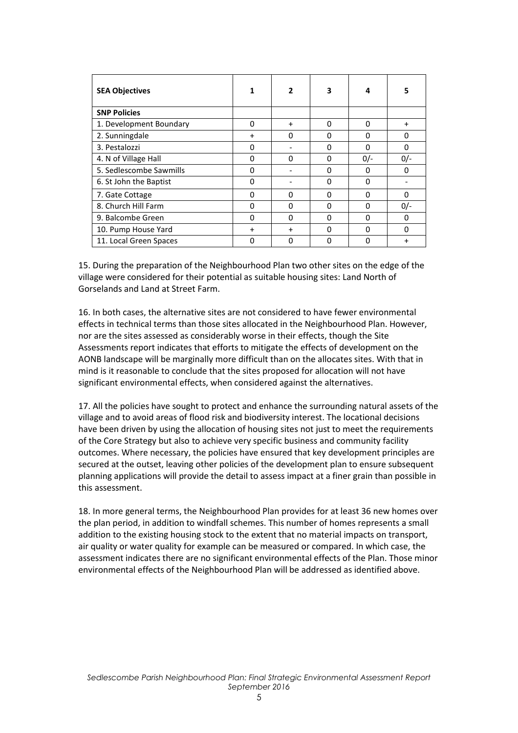| <b>SEA Objectives</b>   | 1            | $\overline{2}$ | 3        | 4            | 5         |
|-------------------------|--------------|----------------|----------|--------------|-----------|
| <b>SNP Policies</b>     |              |                |          |              |           |
| 1. Development Boundary | 0            | $\ddot{}$      | 0        | $\Omega$     | $\ddot{}$ |
| 2. Sunningdale          | $\ddot{}$    | 0              | $\Omega$ | $\Omega$     | 0         |
| 3. Pestalozzi           | 0            |                | 0        | $\Omega$     | 0         |
| 4. N of Village Hall    | $\Omega$     | 0              | $\Omega$ | $0/-$        | $0/-$     |
| 5. Sedlescombe Sawmills | $\Omega$     |                | 0        | $\Omega$     | 0         |
| 6. St John the Baptist  | $\Omega$     |                | $\Omega$ | $\Omega$     |           |
| 7. Gate Cottage         | 0            | 0              | $\Omega$ | $\Omega$     | $\Omega$  |
| 8. Church Hill Farm     | $\Omega$     | 0              | 0        | <sup>0</sup> | $0/-$     |
| 9. Balcombe Green       | 0            | 0              | 0        | $\Omega$     | 0         |
| 10. Pump House Yard     | $\ddot{}$    | $\ddot{}$      | O        | $\Omega$     | $\Omega$  |
| 11. Local Green Spaces  | <sup>0</sup> | 0              | O        | $\Omega$     | +         |

15. During the preparation of the Neighbourhood Plan two other sites on the edge of the village were considered for their potential as suitable housing sites: Land North of Gorselands and Land at Street Farm.

16. In both cases, the alternative sites are not considered to have fewer environmental effects in technical terms than those sites allocated in the Neighbourhood Plan. However, nor are the sites assessed as considerably worse in their effects, though the Site Assessments report indicates that efforts to mitigate the effects of development on the AONB landscape will be marginally more difficult than on the allocates sites. With that in mind is it reasonable to conclude that the sites proposed for allocation will not have significant environmental effects, when considered against the alternatives.

17. All the policies have sought to protect and enhance the surrounding natural assets of the village and to avoid areas of flood risk and biodiversity interest. The locational decisions have been driven by using the allocation of housing sites not just to meet the requirements of the Core Strategy but also to achieve very specific business and community facility outcomes. Where necessary, the policies have ensured that key development principles are secured at the outset, leaving other policies of the development plan to ensure subsequent planning applications will provide the detail to assess impact at a finer grain than possible in this assessment.

18. In more general terms, the Neighbourhood Plan provides for at least 36 new homes over the plan period, in addition to windfall schemes. This number of homes represents a small addition to the existing housing stock to the extent that no material impacts on transport, air quality or water quality for example can be measured or compared. In which case, the assessment indicates there are no significant environmental effects of the Plan. Those minor environmental effects of the Neighbourhood Plan will be addressed as identified above.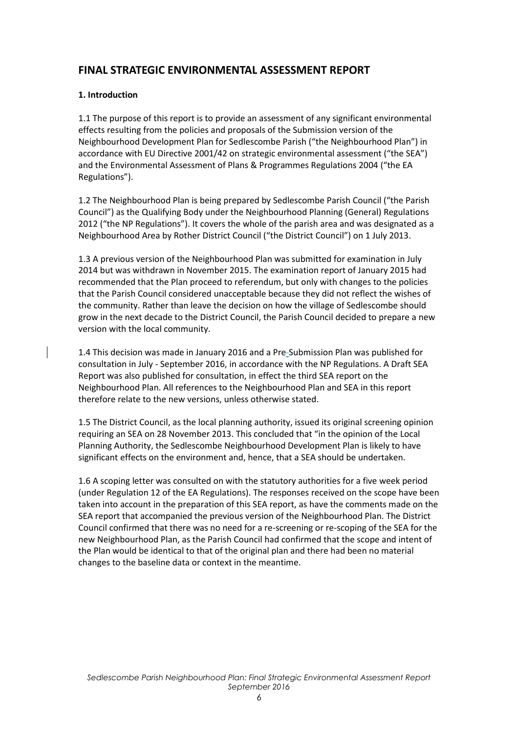# **FINAL STRATEGIC ENVIRONMENTAL ASSESSMENT REPORT**

# **1. Introduction**

1.1 The purpose of this report is to provide an assessment of any significant environmental effects resulting from the policies and proposals of the Submission version of the Neighbourhood Development Plan for Sedlescombe Parish ("the Neighbourhood Plan") in accordance with EU Directive 2001/42 on strategic environmental assessment ("the SEA") and the Environmental Assessment of Plans & Programmes Regulations 2004 ("the EA Regulations").

1.2 The Neighbourhood Plan is being prepared by Sedlescombe Parish Council ("the Parish Council") as the Qualifying Body under the Neighbourhood Planning (General) Regulations 2012 ("the NP Regulations"). It covers the whole of the parish area and was designated as a Neighbourhood Area by Rother District Council ("the District Council") on 1 July 2013.

1.3 A previous version of the Neighbourhood Plan was submitted for examination in July 2014 but was withdrawn in November 2015. The examination report of January 2015 had recommended that the Plan proceed to referendum, but only with changes to the policies that the Parish Council considered unacceptable because they did not reflect the wishes of the community. Rather than leave the decision on how the village of Sedlescombe should grow in the next decade to the District Council, the Parish Council decided to prepare a new version with the local community.

1.4 This decision was made in January 2016 and a Pre-Submission Plan was published for consultation in July - September 2016, in accordance with the NP Regulations. A Draft SEA Report was also published for consultation, in effect the third SEA report on the Neighbourhood Plan. All references to the Neighbourhood Plan and SEA in this report therefore relate to the new versions, unless otherwise stated.

1.5 The District Council, as the local planning authority, issued its original screening opinion requiring an SEA on 28 November 2013. This concluded that "in the opinion of the Local Planning Authority, the Sedlescombe Neighbourhood Development Plan is likely to have significant effects on the environment and, hence, that a SEA should be undertaken.

1.6 A scoping letter was consulted on with the statutory authorities for a five week period (under Regulation 12 of the EA Regulations). The responses received on the scope have been taken into account in the preparation of this SEA report, as have the comments made on the SEA report that accompanied the previous version of the Neighbourhood Plan. The District Council confirmed that there was no need for a re-screening or re-scoping of the SEA for the new Neighbourhood Plan, as the Parish Council had confirmed that the scope and intent of the Plan would be identical to that of the original plan and there had been no material changes to the baseline data or context in the meantime.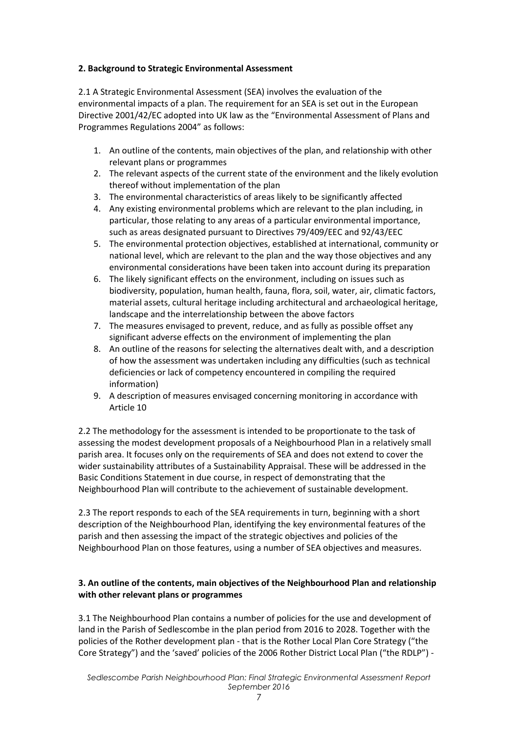#### **2. Background to Strategic Environmental Assessment**

2.1 A Strategic Environmental Assessment (SEA) involves the evaluation of the environmental impacts of a plan. The requirement for an SEA is set out in the European Directive 2001/42/EC adopted into UK law as the "Environmental Assessment of Plans and Programmes Regulations 2004" as follows:

- 1. An outline of the contents, main objectives of the plan, and relationship with other relevant plans or programmes
- 2. The relevant aspects of the current state of the environment and the likely evolution thereof without implementation of the plan
- 3. The environmental characteristics of areas likely to be significantly affected
- 4. Any existing environmental problems which are relevant to the plan including, in particular, those relating to any areas of a particular environmental importance, such as areas designated pursuant to Directives 79/409/EEC and 92/43/EEC
- 5. The environmental protection objectives, established at international, community or national level, which are relevant to the plan and the way those objectives and any environmental considerations have been taken into account during its preparation
- 6. The likely significant effects on the environment, including on issues such as biodiversity, population, human health, fauna, flora, soil, water, air, climatic factors, material assets, cultural heritage including architectural and archaeological heritage, landscape and the interrelationship between the above factors
- 7. The measures envisaged to prevent, reduce, and as fully as possible offset any significant adverse effects on the environment of implementing the plan
- 8. An outline of the reasons for selecting the alternatives dealt with, and a description of how the assessment was undertaken including any difficulties (such as technical deficiencies or lack of competency encountered in compiling the required information)
- 9. A description of measures envisaged concerning monitoring in accordance with Article 10

2.2 The methodology for the assessment is intended to be proportionate to the task of assessing the modest development proposals of a Neighbourhood Plan in a relatively small parish area. It focuses only on the requirements of SEA and does not extend to cover the wider sustainability attributes of a Sustainability Appraisal. These will be addressed in the Basic Conditions Statement in due course, in respect of demonstrating that the Neighbourhood Plan will contribute to the achievement of sustainable development.

2.3 The report responds to each of the SEA requirements in turn, beginning with a short description of the Neighbourhood Plan, identifying the key environmental features of the parish and then assessing the impact of the strategic objectives and policies of the Neighbourhood Plan on those features, using a number of SEA objectives and measures.

## **3. An outline of the contents, main objectives of the Neighbourhood Plan and relationship with other relevant plans or programmes**

3.1 The Neighbourhood Plan contains a number of policies for the use and development of land in the Parish of Sedlescombe in the plan period from 2016 to 2028. Together with the policies of the Rother development plan - that is the Rother Local Plan Core Strategy ("the Core Strategy") and the 'saved' policies of the 2006 Rother District Local Plan ("the RDLP") -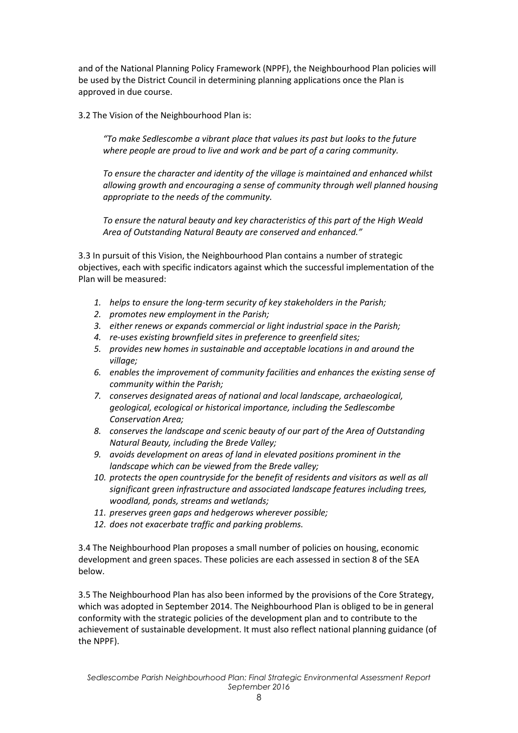and of the National Planning Policy Framework (NPPF), the Neighbourhood Plan policies will be used by the District Council in determining planning applications once the Plan is approved in due course.

3.2 The Vision of the Neighbourhood Plan is:

*"To make Sedlescombe a vibrant place that values its past but looks to the future where people are proud to live and work and be part of a caring community.* 

*To ensure the character and identity of the village is maintained and enhanced whilst allowing growth and encouraging a sense of community through well planned housing appropriate to the needs of the community.*

*To ensure the natural beauty and key characteristics of this part of the High Weald Area of Outstanding Natural Beauty are conserved and enhanced."*

3.3 In pursuit of this Vision, the Neighbourhood Plan contains a number of strategic objectives, each with specific indicators against which the successful implementation of the Plan will be measured:

- *1. helps to ensure the long-term security of key stakeholders in the Parish;*
- *2. promotes new employment in the Parish;*
- *3. either renews or expands commercial or light industrial space in the Parish;*
- *4. re-uses existing brownfield sites in preference to greenfield sites;*
- *5. provides new homes in sustainable and acceptable locations in and around the village;*
- *6. enables the improvement of community facilities and enhances the existing sense of community within the Parish;*
- *7. conserves designated areas of national and local landscape, archaeological, geological, ecological or historical importance, including the Sedlescombe Conservation Area;*
- *8. conserves the landscape and scenic beauty of our part of the Area of Outstanding Natural Beauty, including the Brede Valley;*
- *9. avoids development on areas of land in elevated positions prominent in the landscape which can be viewed from the Brede valley;*
- *10. protects the open countryside for the benefit of residents and visitors as well as all significant green infrastructure and associated landscape features including trees, woodland, ponds, streams and wetlands;*
- *11. preserves green gaps and hedgerows wherever possible;*
- *12. does not exacerbate traffic and parking problems.*

3.4 The Neighbourhood Plan proposes a small number of policies on housing, economic development and green spaces. These policies are each assessed in section 8 of the SEA below.

3.5 The Neighbourhood Plan has also been informed by the provisions of the Core Strategy, which was adopted in September 2014. The Neighbourhood Plan is obliged to be in general conformity with the strategic policies of the development plan and to contribute to the achievement of sustainable development. It must also reflect national planning guidance (of the NPPF).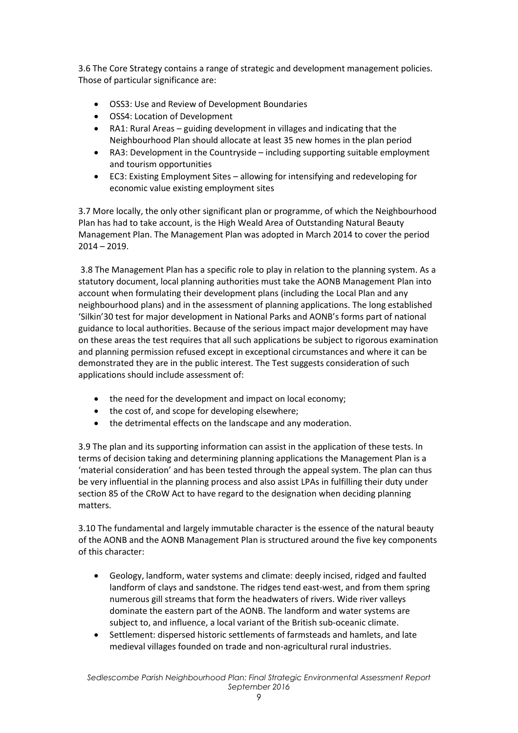3.6 The Core Strategy contains a range of strategic and development management policies. Those of particular significance are:

- OSS3: Use and Review of Development Boundaries
- OSS4: Location of Development
- RA1: Rural Areas guiding development in villages and indicating that the Neighbourhood Plan should allocate at least 35 new homes in the plan period
- RA3: Development in the Countryside including supporting suitable employment and tourism opportunities
- EC3: Existing Employment Sites allowing for intensifying and redeveloping for economic value existing employment sites

3.7 More locally, the only other significant plan or programme, of which the Neighbourhood Plan has had to take account, is the High Weald Area of Outstanding Natural Beauty Management Plan. The Management Plan was adopted in March 2014 to cover the period  $2014 - 2019$ .

3.8 The Management Plan has a specific role to play in relation to the planning system. As a statutory document, local planning authorities must take the AONB Management Plan into account when formulating their development plans (including the Local Plan and any neighbourhood plans) and in the assessment of planning applications. The long established 'Silkin'30 test for major development in National Parks and AONB's forms part of national guidance to local authorities. Because of the serious impact major development may have on these areas the test requires that all such applications be subject to rigorous examination and planning permission refused except in exceptional circumstances and where it can be demonstrated they are in the public interest. The Test suggests consideration of such applications should include assessment of:

- the need for the development and impact on local economy;
- the cost of, and scope for developing elsewhere;
- the detrimental effects on the landscape and any moderation.

3.9 The plan and its supporting information can assist in the application of these tests. In terms of decision taking and determining planning applications the Management Plan is a 'material consideration' and has been tested through the appeal system. The plan can thus be very influential in the planning process and also assist LPAs in fulfilling their duty under section 85 of the CRoW Act to have regard to the designation when deciding planning matters.

3.10 The fundamental and largely immutable character is the essence of the natural beauty of the AONB and the AONB Management Plan is structured around the five key components of this character:

- Geology, landform, water systems and climate: deeply incised, ridged and faulted landform of clays and sandstone. The ridges tend east-west, and from them spring numerous gill streams that form the headwaters of rivers. Wide river valleys dominate the eastern part of the AONB. The landform and water systems are subject to, and influence, a local variant of the British sub-oceanic climate.
- Settlement: dispersed historic settlements of farmsteads and hamlets, and late medieval villages founded on trade and non-agricultural rural industries.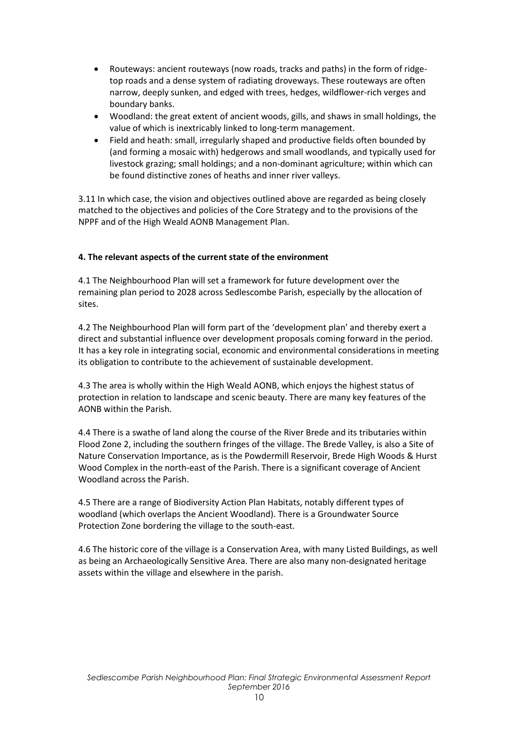- Routeways: ancient routeways (now roads, tracks and paths) in the form of ridgetop roads and a dense system of radiating droveways. These routeways are often narrow, deeply sunken, and edged with trees, hedges, wildflower-rich verges and boundary banks.
- Woodland: the great extent of ancient woods, gills, and shaws in small holdings, the value of which is inextricably linked to long-term management.
- Field and heath: small, irregularly shaped and productive fields often bounded by (and forming a mosaic with) hedgerows and small woodlands, and typically used for livestock grazing; small holdings; and a non-dominant agriculture; within which can be found distinctive zones of heaths and inner river valleys.

3.11 In which case, the vision and objectives outlined above are regarded as being closely matched to the objectives and policies of the Core Strategy and to the provisions of the NPPF and of the High Weald AONB Management Plan.

#### **4. The relevant aspects of the current state of the environment**

4.1 The Neighbourhood Plan will set a framework for future development over the remaining plan period to 2028 across Sedlescombe Parish, especially by the allocation of sites.

4.2 The Neighbourhood Plan will form part of the 'development plan' and thereby exert a direct and substantial influence over development proposals coming forward in the period. It has a key role in integrating social, economic and environmental considerations in meeting its obligation to contribute to the achievement of sustainable development.

4.3 The area is wholly within the High Weald AONB, which enjoys the highest status of protection in relation to landscape and scenic beauty. There are many key features of the AONB within the Parish.

4.4 There is a swathe of land along the course of the River Brede and its tributaries within Flood Zone 2, including the southern fringes of the village. The Brede Valley, is also a Site of Nature Conservation Importance, as is the Powdermill Reservoir, Brede High Woods & Hurst Wood Complex in the north-east of the Parish. There is a significant coverage of Ancient Woodland across the Parish.

4.5 There are a range of Biodiversity Action Plan Habitats, notably different types of woodland (which overlaps the Ancient Woodland). There is a Groundwater Source Protection Zone bordering the village to the south-east.

4.6 The historic core of the village is a Conservation Area, with many Listed Buildings, as well as being an Archaeologically Sensitive Area. There are also many non-designated heritage assets within the village and elsewhere in the parish.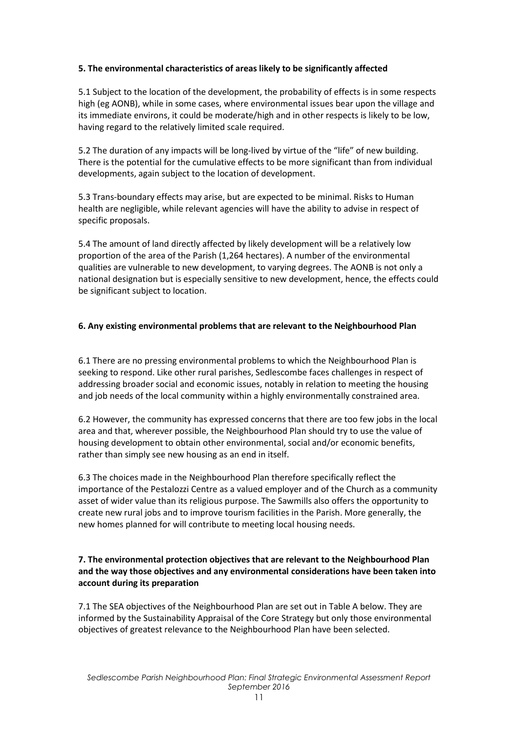#### **5. The environmental characteristics of areas likely to be significantly affected**

5.1 Subject to the location of the development, the probability of effects is in some respects high (eg AONB), while in some cases, where environmental issues bear upon the village and its immediate environs, it could be moderate/high and in other respects is likely to be low, having regard to the relatively limited scale required.

5.2 The duration of any impacts will be long-lived by virtue of the "life" of new building. There is the potential for the cumulative effects to be more significant than from individual developments, again subject to the location of development.

5.3 Trans-boundary effects may arise, but are expected to be minimal. Risks to Human health are negligible, while relevant agencies will have the ability to advise in respect of specific proposals.

5.4 The amount of land directly affected by likely development will be a relatively low proportion of the area of the Parish (1,264 hectares). A number of the environmental qualities are vulnerable to new development, to varying degrees. The AONB is not only a national designation but is especially sensitive to new development, hence, the effects could be significant subject to location.

#### **6. Any existing environmental problems that are relevant to the Neighbourhood Plan**

6.1 There are no pressing environmental problems to which the Neighbourhood Plan is seeking to respond. Like other rural parishes, Sedlescombe faces challenges in respect of addressing broader social and economic issues, notably in relation to meeting the housing and job needs of the local community within a highly environmentally constrained area.

6.2 However, the community has expressed concerns that there are too few jobs in the local area and that, wherever possible, the Neighbourhood Plan should try to use the value of housing development to obtain other environmental, social and/or economic benefits, rather than simply see new housing as an end in itself.

6.3 The choices made in the Neighbourhood Plan therefore specifically reflect the importance of the Pestalozzi Centre as a valued employer and of the Church as a community asset of wider value than its religious purpose. The Sawmills also offers the opportunity to create new rural jobs and to improve tourism facilities in the Parish. More generally, the new homes planned for will contribute to meeting local housing needs.

#### **7. The environmental protection objectives that are relevant to the Neighbourhood Plan and the way those objectives and any environmental considerations have been taken into account during its preparation**

7.1 The SEA objectives of the Neighbourhood Plan are set out in Table A below. They are informed by the Sustainability Appraisal of the Core Strategy but only those environmental objectives of greatest relevance to the Neighbourhood Plan have been selected.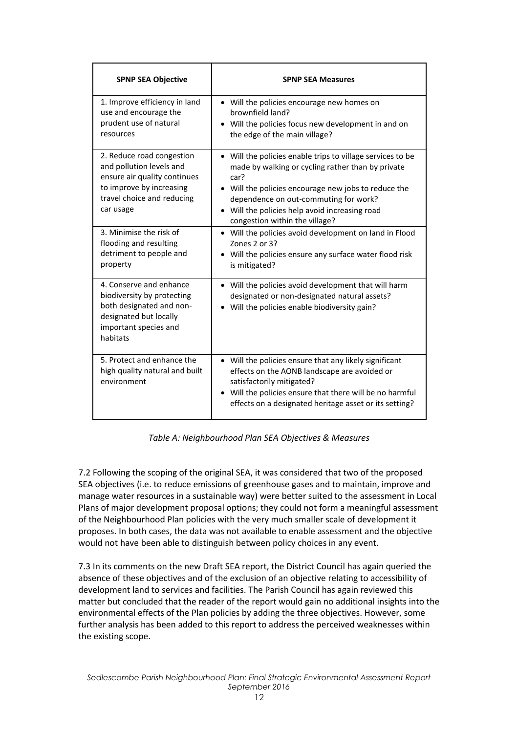| <b>SPNP SEA Objective</b>                                                                                                                                    | <b>SPNP SEA Measures</b>                                                                                                                                                                                                                                                                                     |  |  |  |  |  |
|--------------------------------------------------------------------------------------------------------------------------------------------------------------|--------------------------------------------------------------------------------------------------------------------------------------------------------------------------------------------------------------------------------------------------------------------------------------------------------------|--|--|--|--|--|
| 1. Improve efficiency in land<br>use and encourage the<br>prudent use of natural<br>resources                                                                | • Will the policies encourage new homes on<br>brownfield land?<br>• Will the policies focus new development in and on<br>the edge of the main village?                                                                                                                                                       |  |  |  |  |  |
| 2. Reduce road congestion<br>and pollution levels and<br>ensure air quality continues<br>to improve by increasing<br>travel choice and reducing<br>car usage | • Will the policies enable trips to village services to be<br>made by walking or cycling rather than by private<br>car?<br>• Will the policies encourage new jobs to reduce the<br>dependence on out-commuting for work?<br>• Will the policies help avoid increasing road<br>congestion within the village? |  |  |  |  |  |
| 3. Minimise the risk of<br>flooding and resulting<br>detriment to people and<br>property                                                                     | • Will the policies avoid development on land in Flood<br>Zones 2 or 3?<br>Will the policies ensure any surface water flood risk<br>is mitigated?                                                                                                                                                            |  |  |  |  |  |
| 4. Conserve and enhance<br>biodiversity by protecting<br>both designated and non-<br>designated but locally<br>important species and<br>habitats             | • Will the policies avoid development that will harm<br>designated or non-designated natural assets?<br>Will the policies enable biodiversity gain?                                                                                                                                                          |  |  |  |  |  |
| 5. Protect and enhance the<br>high quality natural and built<br>environment                                                                                  | • Will the policies ensure that any likely significant<br>effects on the AONB landscape are avoided or<br>satisfactorily mitigated?<br>• Will the policies ensure that there will be no harmful<br>effects on a designated heritage asset or its setting?                                                    |  |  |  |  |  |

*Table A: Neighbourhood Plan SEA Objectives & Measures*

7.2 Following the scoping of the original SEA, it was considered that two of the proposed SEA objectives (i.e. to reduce emissions of greenhouse gases and to maintain, improve and manage water resources in a sustainable way) were better suited to the assessment in Local Plans of major development proposal options; they could not form a meaningful assessment of the Neighbourhood Plan policies with the very much smaller scale of development it proposes. In both cases, the data was not available to enable assessment and the objective would not have been able to distinguish between policy choices in any event.

7.3 In its comments on the new Draft SEA report, the District Council has again queried the absence of these objectives and of the exclusion of an objective relating to accessibility of development land to services and facilities. The Parish Council has again reviewed this matter but concluded that the reader of the report would gain no additional insights into the environmental effects of the Plan policies by adding the three objectives. However, some further analysis has been added to this report to address the perceived weaknesses within the existing scope.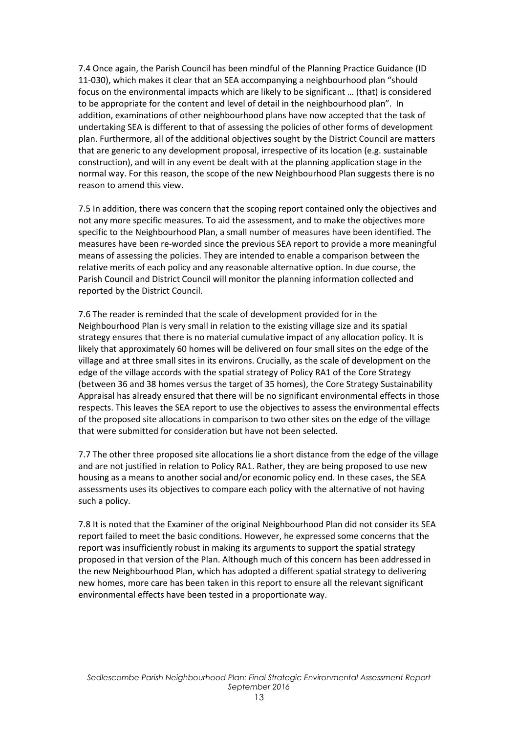7.4 Once again, the Parish Council has been mindful of the Planning Practice Guidance (ID 11-030), which makes it clear that an SEA accompanying a neighbourhood plan "should focus on the environmental impacts which are likely to be significant … (that) is considered to be appropriate for the content and level of detail in the neighbourhood plan". In addition, examinations of other neighbourhood plans have now accepted that the task of undertaking SEA is different to that of assessing the policies of other forms of development plan. Furthermore, all of the additional objectives sought by the District Council are matters that are generic to any development proposal, irrespective of its location (e.g. sustainable construction), and will in any event be dealt with at the planning application stage in the normal way. For this reason, the scope of the new Neighbourhood Plan suggests there is no reason to amend this view.

7.5 In addition, there was concern that the scoping report contained only the objectives and not any more specific measures. To aid the assessment, and to make the objectives more specific to the Neighbourhood Plan, a small number of measures have been identified. The measures have been re-worded since the previous SEA report to provide a more meaningful means of assessing the policies. They are intended to enable a comparison between the relative merits of each policy and any reasonable alternative option. In due course, the Parish Council and District Council will monitor the planning information collected and reported by the District Council.

7.6 The reader is reminded that the scale of development provided for in the Neighbourhood Plan is very small in relation to the existing village size and its spatial strategy ensures that there is no material cumulative impact of any allocation policy. It is likely that approximately 60 homes will be delivered on four small sites on the edge of the village and at three small sites in its environs. Crucially, as the scale of development on the edge of the village accords with the spatial strategy of Policy RA1 of the Core Strategy (between 36 and 38 homes versus the target of 35 homes), the Core Strategy Sustainability Appraisal has already ensured that there will be no significant environmental effects in those respects. This leaves the SEA report to use the objectives to assess the environmental effects of the proposed site allocations in comparison to two other sites on the edge of the village that were submitted for consideration but have not been selected.

7.7 The other three proposed site allocations lie a short distance from the edge of the village and are not justified in relation to Policy RA1. Rather, they are being proposed to use new housing as a means to another social and/or economic policy end. In these cases, the SEA assessments uses its objectives to compare each policy with the alternative of not having such a policy.

7.8 It is noted that the Examiner of the original Neighbourhood Plan did not consider its SEA report failed to meet the basic conditions. However, he expressed some concerns that the report was insufficiently robust in making its arguments to support the spatial strategy proposed in that version of the Plan. Although much of this concern has been addressed in the new Neighbourhood Plan, which has adopted a different spatial strategy to delivering new homes, more care has been taken in this report to ensure all the relevant significant environmental effects have been tested in a proportionate way.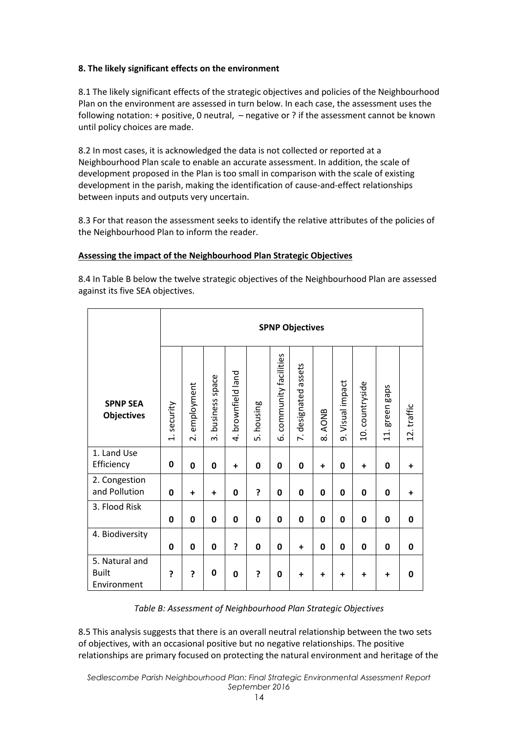#### **8. The likely significant effects on the environment**

8.1 The likely significant effects of the strategic objectives and policies of the Neighbourhood Plan on the environment are assessed in turn below. In each case, the assessment uses the following notation: + positive, 0 neutral, – negative or ? if the assessment cannot be known until policy choices are made.

8.2 In most cases, it is acknowledged the data is not collected or reported at a Neighbourhood Plan scale to enable an accurate assessment. In addition, the scale of development proposed in the Plan is too small in comparison with the scale of existing development in the parish, making the identification of cause-and-effect relationships between inputs and outputs very uncertain.

8.3 For that reason the assessment seeks to identify the relative attributes of the policies of the Neighbourhood Plan to inform the reader.

#### **Assessing the impact of the Neighbourhood Plan Strategic Objectives**

8.4 In Table B below the twelve strategic objectives of the Neighbourhood Plan are assessed against its five SEA objectives.

|                                               | <b>SPNP Objectives</b> |                                       |                             |                       |               |                           |                      |                               |               |                 |                             |             |
|-----------------------------------------------|------------------------|---------------------------------------|-----------------------------|-----------------------|---------------|---------------------------|----------------------|-------------------------------|---------------|-----------------|-----------------------------|-------------|
| <b>SPNP SEA</b><br><b>Objectives</b>          | 1. security            | employment<br>$\overline{\mathbf{v}}$ | business space<br>$\dot{ }$ | brownfield land<br>4. | housing<br>ທ່ | community facilities<br>ق | 7. designated assets | <b>AONB</b><br>$\dot{\infty}$ | Visual impact | 10. countryside | green gaps<br>$\frac{1}{2}$ | 12. traffic |
| 1. Land Use<br>Efficiency                     | 0                      | $\mathbf{0}$                          | 0                           | $\ddot{}$             | $\mathbf 0$   | 0                         | 0                    | $\ddot{}$                     | 0             | $\ddot{}$       | 0                           | $\ddot{}$   |
| 2. Congestion<br>and Pollution                | $\mathbf 0$            | $\ddot{}$                             | $\ddot{}$                   | 0                     | ?             | 0                         | 0                    | $\mathbf 0$                   | 0             | $\mathbf 0$     | 0                           | $\ddot{}$   |
| 3. Flood Risk                                 | 0                      | 0                                     | 0                           | 0                     | 0             | 0                         | 0                    | 0                             | 0             | 0               | 0                           | 0           |
| 4. Biodiversity                               | 0                      | $\mathbf{0}$                          | 0                           | ?                     | 0             | 0                         | $\ddot{}$            | 0                             | 0             | 0               | 0                           | 0           |
| 5. Natural and<br><b>Built</b><br>Environment | ?                      | ?                                     | 0                           | 0                     | ?             | 0                         | $\ddot{}$            | +                             | $\ddot{}$     | $\ddot{}$       | $\ddot{}$                   | 0           |

*Table B: Assessment of Neighbourhood Plan Strategic Objectives* 

8.5 This analysis suggests that there is an overall neutral relationship between the two sets of objectives, with an occasional positive but no negative relationships. The positive relationships are primary focused on protecting the natural environment and heritage of the

*Sedlescombe Parish Neighbourhood Plan: Final Strategic Environmental Assessment Report September 2016*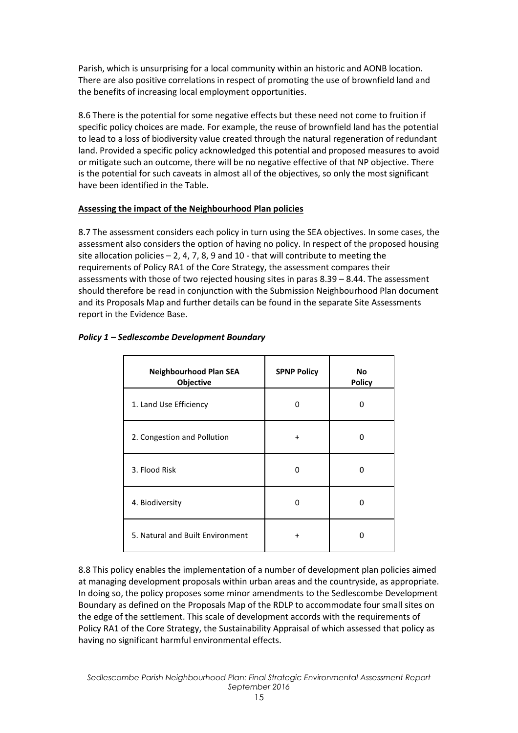Parish, which is unsurprising for a local community within an historic and AONB location. There are also positive correlations in respect of promoting the use of brownfield land and the benefits of increasing local employment opportunities.

8.6 There is the potential for some negative effects but these need not come to fruition if specific policy choices are made. For example, the reuse of brownfield land has the potential to lead to a loss of biodiversity value created through the natural regeneration of redundant land. Provided a specific policy acknowledged this potential and proposed measures to avoid or mitigate such an outcome, there will be no negative effective of that NP objective. There is the potential for such caveats in almost all of the objectives, so only the most significant have been identified in the Table.

# **Assessing the impact of the Neighbourhood Plan policies**

8.7 The assessment considers each policy in turn using the SEA objectives. In some cases, the assessment also considers the option of having no policy. In respect of the proposed housing site allocation policies  $-2$ , 4, 7, 8, 9 and 10 - that will contribute to meeting the requirements of Policy RA1 of the Core Strategy, the assessment compares their assessments with those of two rejected housing sites in paras 8.39 – 8.44. The assessment should therefore be read in conjunction with the Submission Neighbourhood Plan document and its Proposals Map and further details can be found in the separate Site Assessments report in the Evidence Base.

| <b>Neighbourhood Plan SEA</b><br>Objective | <b>SPNP Policy</b> | <b>No</b><br><b>Policy</b> |
|--------------------------------------------|--------------------|----------------------------|
| 1. Land Use Efficiency                     | 0                  | 0                          |
| 2. Congestion and Pollution                | $\mathbf +$        | ŋ                          |
| 3. Flood Risk                              | O                  | O                          |
| 4. Biodiversity                            | 0                  | U                          |
| 5. Natural and Built Environment           |                    | O                          |

## *Policy 1 – Sedlescombe Development Boundary*

8.8 This policy enables the implementation of a number of development plan policies aimed at managing development proposals within urban areas and the countryside, as appropriate. In doing so, the policy proposes some minor amendments to the Sedlescombe Development Boundary as defined on the Proposals Map of the RDLP to accommodate four small sites on the edge of the settlement. This scale of development accords with the requirements of Policy RA1 of the Core Strategy, the Sustainability Appraisal of which assessed that policy as having no significant harmful environmental effects.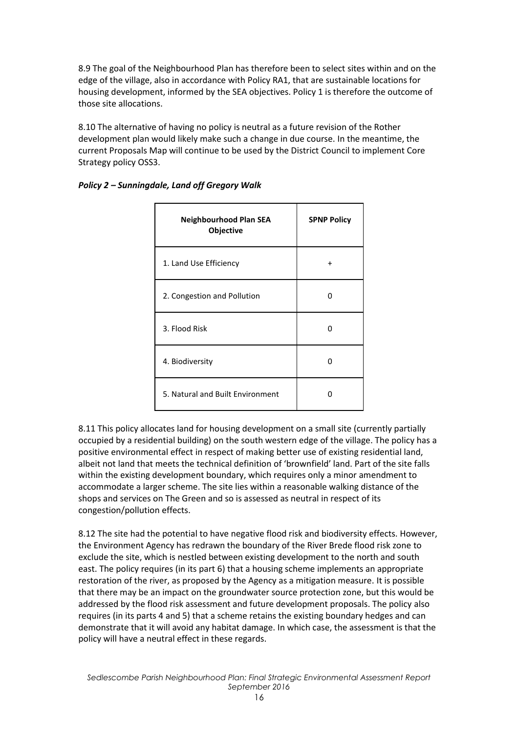8.9 The goal of the Neighbourhood Plan has therefore been to select sites within and on the edge of the village, also in accordance with Policy RA1, that are sustainable locations for housing development, informed by the SEA objectives. Policy 1 is therefore the outcome of those site allocations.

8.10 The alternative of having no policy is neutral as a future revision of the Rother development plan would likely make such a change in due course. In the meantime, the current Proposals Map will continue to be used by the District Council to implement Core Strategy policy OSS3.

| <b>Neighbourhood Plan SEA</b><br>Objective | <b>SPNP Policy</b> |
|--------------------------------------------|--------------------|
| 1. Land Use Efficiency                     | $\div$             |
| 2. Congestion and Pollution                | n                  |
| 3. Flood Risk                              | n                  |
| 4. Biodiversity                            | n                  |
| 5. Natural and Built Environment           |                    |

# *Policy 2 – Sunningdale, Land off Gregory Walk*

8.11 This policy allocates land for housing development on a small site (currently partially occupied by a residential building) on the south western edge of the village. The policy has a positive environmental effect in respect of making better use of existing residential land, albeit not land that meets the technical definition of 'brownfield' land. Part of the site falls within the existing development boundary, which requires only a minor amendment to accommodate a larger scheme. The site lies within a reasonable walking distance of the shops and services on The Green and so is assessed as neutral in respect of its congestion/pollution effects.

8.12 The site had the potential to have negative flood risk and biodiversity effects. However, the Environment Agency has redrawn the boundary of the River Brede flood risk zone to exclude the site, which is nestled between existing development to the north and south east. The policy requires (in its part 6) that a housing scheme implements an appropriate restoration of the river, as proposed by the Agency as a mitigation measure. It is possible that there may be an impact on the groundwater source protection zone, but this would be addressed by the flood risk assessment and future development proposals. The policy also requires (in its parts 4 and 5) that a scheme retains the existing boundary hedges and can demonstrate that it will avoid any habitat damage. In which case, the assessment is that the policy will have a neutral effect in these regards.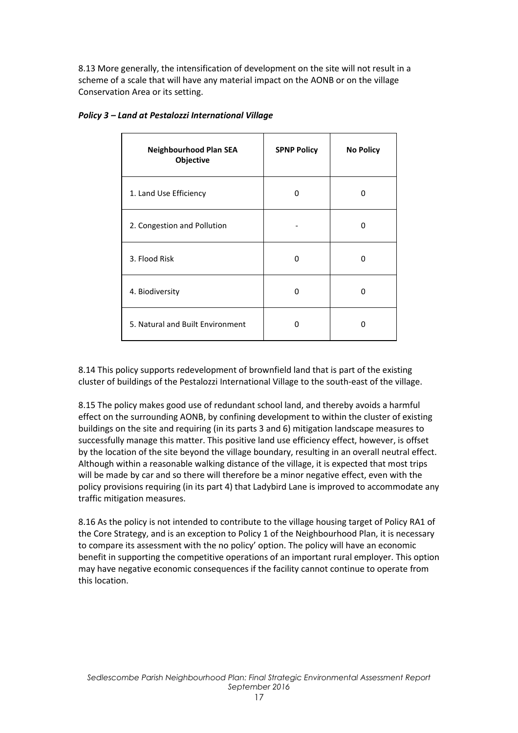8.13 More generally, the intensification of development on the site will not result in a scheme of a scale that will have any material impact on the AONB or on the village Conservation Area or its setting.

| <b>Neighbourhood Plan SEA</b><br>Objective | <b>SPNP Policy</b> | <b>No Policy</b> |
|--------------------------------------------|--------------------|------------------|
| 1. Land Use Efficiency                     | O                  | O                |
| 2. Congestion and Pollution                |                    | ŋ                |
| 3. Flood Risk                              | O                  | n                |
| 4. Biodiversity                            | ŋ                  | n                |
| 5. Natural and Built Environment           | n                  | O                |

#### *Policy 3 – Land at Pestalozzi International Village*

8.14 This policy supports redevelopment of brownfield land that is part of the existing cluster of buildings of the Pestalozzi International Village to the south-east of the village.

8.15 The policy makes good use of redundant school land, and thereby avoids a harmful effect on the surrounding AONB, by confining development to within the cluster of existing buildings on the site and requiring (in its parts 3 and 6) mitigation landscape measures to successfully manage this matter. This positive land use efficiency effect, however, is offset by the location of the site beyond the village boundary, resulting in an overall neutral effect. Although within a reasonable walking distance of the village, it is expected that most trips will be made by car and so there will therefore be a minor negative effect, even with the policy provisions requiring (in its part 4) that Ladybird Lane is improved to accommodate any traffic mitigation measures.

8.16 As the policy is not intended to contribute to the village housing target of Policy RA1 of the Core Strategy, and is an exception to Policy 1 of the Neighbourhood Plan, it is necessary to compare its assessment with the no policy' option. The policy will have an economic benefit in supporting the competitive operations of an important rural employer. This option may have negative economic consequences if the facility cannot continue to operate from this location.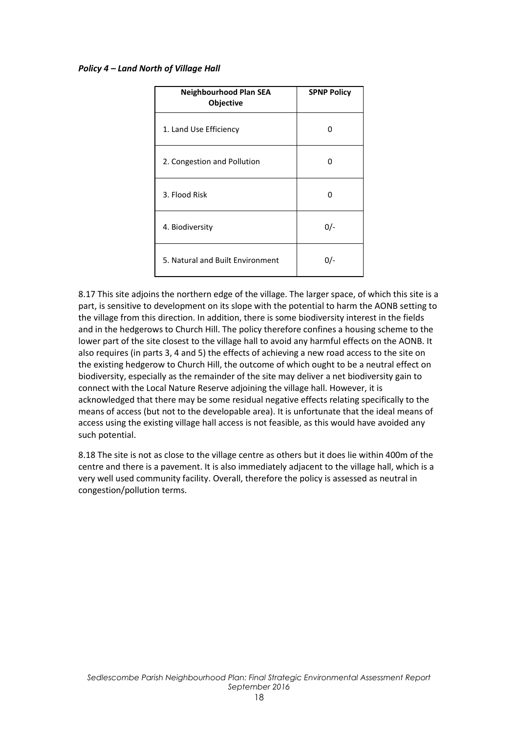#### *Policy 4 – Land North of Village Hall*

| <b>Neighbourhood Plan SEA</b><br>Objective | <b>SPNP Policy</b> |
|--------------------------------------------|--------------------|
| 1. Land Use Efficiency                     | n                  |
| 2. Congestion and Pollution                | n                  |
| 3. Flood Risk                              |                    |
| 4. Biodiversity                            | $0/-$              |
| 5. Natural and Built Environment           | 0/-                |

8.17 This site adjoins the northern edge of the village. The larger space, of which this site is a part, is sensitive to development on its slope with the potential to harm the AONB setting to the village from this direction. In addition, there is some biodiversity interest in the fields and in the hedgerows to Church Hill. The policy therefore confines a housing scheme to the lower part of the site closest to the village hall to avoid any harmful effects on the AONB. It also requires (in parts 3, 4 and 5) the effects of achieving a new road access to the site on the existing hedgerow to Church Hill, the outcome of which ought to be a neutral effect on biodiversity, especially as the remainder of the site may deliver a net biodiversity gain to connect with the Local Nature Reserve adjoining the village hall. However, it is acknowledged that there may be some residual negative effects relating specifically to the means of access (but not to the developable area). It is unfortunate that the ideal means of access using the existing village hall access is not feasible, as this would have avoided any such potential.

8.18 The site is not as close to the village centre as others but it does lie within 400m of the centre and there is a pavement. It is also immediately adjacent to the village hall, which is a very well used community facility. Overall, therefore the policy is assessed as neutral in congestion/pollution terms.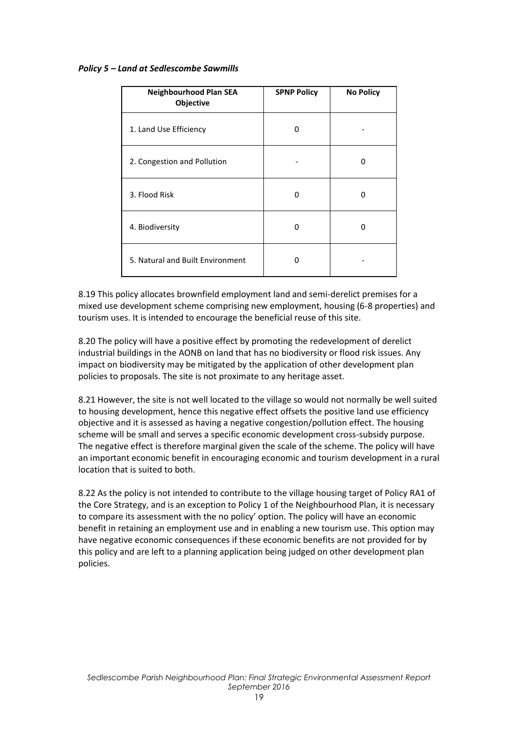#### *Policy 5 – Land at Sedlescombe Sawmills*

| <b>Neighbourhood Plan SEA</b><br>Objective | <b>SPNP Policy</b> | <b>No Policy</b> |
|--------------------------------------------|--------------------|------------------|
| 1. Land Use Efficiency                     | O                  |                  |
| 2. Congestion and Pollution                |                    | 0                |
| 3. Flood Risk                              | ŋ                  | n                |
| 4. Biodiversity                            | ŋ                  | ŋ                |
| 5. Natural and Built Environment           | O                  |                  |

8.19 This policy allocates brownfield employment land and semi-derelict premises for a mixed use development scheme comprising new employment, housing (6-8 properties) and tourism uses. It is intended to encourage the beneficial reuse of this site.

8.20 The policy will have a positive effect by promoting the redevelopment of derelict industrial buildings in the AONB on land that has no biodiversity or flood risk issues. Any impact on biodiversity may be mitigated by the application of other development plan policies to proposals. The site is not proximate to any heritage asset.

8.21 However, the site is not well located to the village so would not normally be well suited to housing development, hence this negative effect offsets the positive land use efficiency objective and it is assessed as having a negative congestion/pollution effect. The housing scheme will be small and serves a specific economic development cross-subsidy purpose. The negative effect is therefore marginal given the scale of the scheme. The policy will have an important economic benefit in encouraging economic and tourism development in a rural location that is suited to both.

8.22 As the policy is not intended to contribute to the village housing target of Policy RA1 of the Core Strategy, and is an exception to Policy 1 of the Neighbourhood Plan, it is necessary to compare its assessment with the no policy' option. The policy will have an economic benefit in retaining an employment use and in enabling a new tourism use. This option may have negative economic consequences if these economic benefits are not provided for by this policy and are left to a planning application being judged on other development plan policies.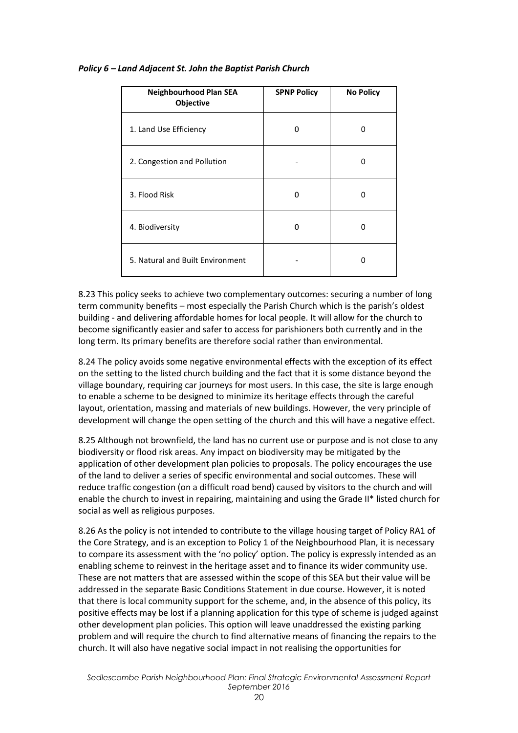| <b>Neighbourhood Plan SEA</b><br>Objective | <b>SPNP Policy</b> | <b>No Policy</b> |
|--------------------------------------------|--------------------|------------------|
| 1. Land Use Efficiency                     | n                  | ŋ                |
| 2. Congestion and Pollution                |                    | 0                |
| 3. Flood Risk                              | n                  | ŋ                |
| 4. Biodiversity                            | n                  | ŋ                |
| 5. Natural and Built Environment           |                    | ŋ                |

#### *Policy 6 – Land Adjacent St. John the Baptist Parish Church*

8.23 This policy seeks to achieve two complementary outcomes: securing a number of long term community benefits – most especially the Parish Church which is the parish's oldest building - and delivering affordable homes for local people. It will allow for the church to become significantly easier and safer to access for parishioners both currently and in the long term. Its primary benefits are therefore social rather than environmental.

8.24 The policy avoids some negative environmental effects with the exception of its effect on the setting to the listed church building and the fact that it is some distance beyond the village boundary, requiring car journeys for most users. In this case, the site is large enough to enable a scheme to be designed to minimize its heritage effects through the careful layout, orientation, massing and materials of new buildings. However, the very principle of development will change the open setting of the church and this will have a negative effect.

8.25 Although not brownfield, the land has no current use or purpose and is not close to any biodiversity or flood risk areas. Any impact on biodiversity may be mitigated by the application of other development plan policies to proposals. The policy encourages the use of the land to deliver a series of specific environmental and social outcomes. These will reduce traffic congestion (on a difficult road bend) caused by visitors to the church and will enable the church to invest in repairing, maintaining and using the Grade II\* listed church for social as well as religious purposes.

8.26 As the policy is not intended to contribute to the village housing target of Policy RA1 of the Core Strategy, and is an exception to Policy 1 of the Neighbourhood Plan, it is necessary to compare its assessment with the 'no policy' option. The policy is expressly intended as an enabling scheme to reinvest in the heritage asset and to finance its wider community use. These are not matters that are assessed within the scope of this SEA but their value will be addressed in the separate Basic Conditions Statement in due course. However, it is noted that there is local community support for the scheme, and, in the absence of this policy, its positive effects may be lost if a planning application for this type of scheme is judged against other development plan policies. This option will leave unaddressed the existing parking problem and will require the church to find alternative means of financing the repairs to the church. It will also have negative social impact in not realising the opportunities for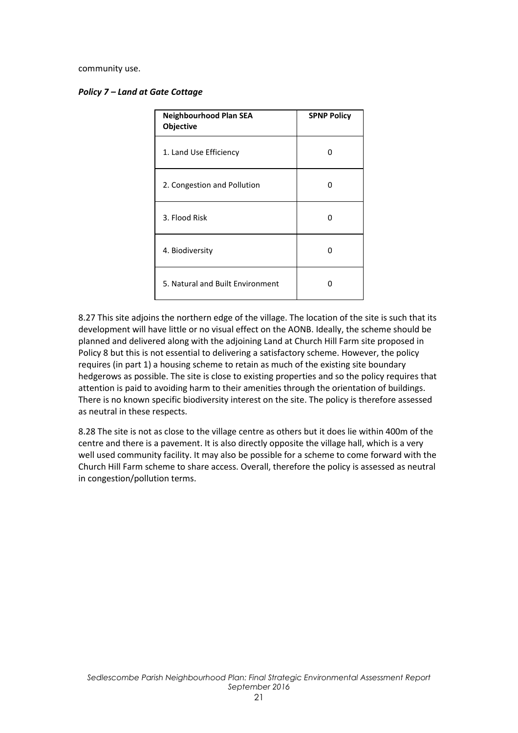community use.

|  |  |  |  |  | <b>Policy 7 - Land at Gate Cottage</b> |
|--|--|--|--|--|----------------------------------------|
|--|--|--|--|--|----------------------------------------|

| <b>Neighbourhood Plan SEA</b><br>Objective | <b>SPNP Policy</b> |
|--------------------------------------------|--------------------|
| 1. Land Use Efficiency                     | n                  |
| 2. Congestion and Pollution                | ŋ                  |
| 3. Flood Risk                              | O                  |
| 4. Biodiversity                            | n                  |
| 5. Natural and Built Environment           | n                  |

8.27 This site adjoins the northern edge of the village. The location of the site is such that its development will have little or no visual effect on the AONB. Ideally, the scheme should be planned and delivered along with the adjoining Land at Church Hill Farm site proposed in Policy 8 but this is not essential to delivering a satisfactory scheme. However, the policy requires (in part 1) a housing scheme to retain as much of the existing site boundary hedgerows as possible. The site is close to existing properties and so the policy requires that attention is paid to avoiding harm to their amenities through the orientation of buildings. There is no known specific biodiversity interest on the site. The policy is therefore assessed as neutral in these respects.

8.28 The site is not as close to the village centre as others but it does lie within 400m of the centre and there is a pavement. It is also directly opposite the village hall, which is a very well used community facility. It may also be possible for a scheme to come forward with the Church Hill Farm scheme to share access. Overall, therefore the policy is assessed as neutral in congestion/pollution terms.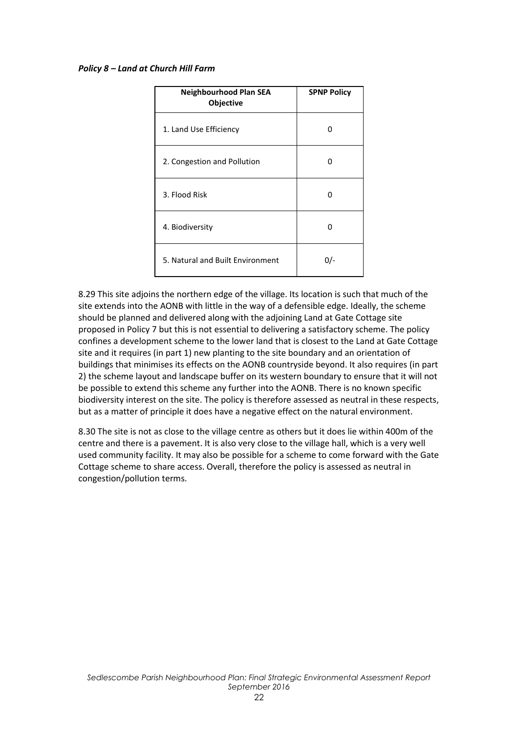#### *Policy 8 – Land at Church Hill Farm*

| <b>Neighbourhood Plan SEA</b><br><b>Objective</b> | <b>SPNP Policy</b> |
|---------------------------------------------------|--------------------|
| 1. Land Use Efficiency                            | O                  |
| 2. Congestion and Pollution                       | n                  |
| 3. Flood Risk                                     | O                  |
| 4. Biodiversity                                   | n                  |
| 5. Natural and Built Environment                  | 0/-                |

8.29 This site adjoins the northern edge of the village. Its location is such that much of the site extends into the AONB with little in the way of a defensible edge. Ideally, the scheme should be planned and delivered along with the adjoining Land at Gate Cottage site proposed in Policy 7 but this is not essential to delivering a satisfactory scheme. The policy confines a development scheme to the lower land that is closest to the Land at Gate Cottage site and it requires (in part 1) new planting to the site boundary and an orientation of buildings that minimises its effects on the AONB countryside beyond. It also requires (in part 2) the scheme layout and landscape buffer on its western boundary to ensure that it will not be possible to extend this scheme any further into the AONB. There is no known specific biodiversity interest on the site. The policy is therefore assessed as neutral in these respects, but as a matter of principle it does have a negative effect on the natural environment.

8.30 The site is not as close to the village centre as others but it does lie within 400m of the centre and there is a pavement. It is also very close to the village hall, which is a very well used community facility. It may also be possible for a scheme to come forward with the Gate Cottage scheme to share access. Overall, therefore the policy is assessed as neutral in congestion/pollution terms.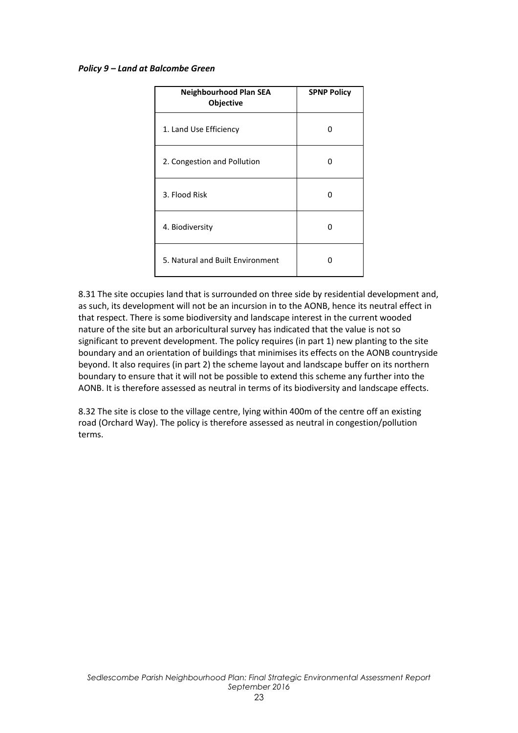#### *Policy 9 – Land at Balcombe Green*

| <b>Neighbourhood Plan SEA</b><br><b>Objective</b> | <b>SPNP Policy</b> |
|---------------------------------------------------|--------------------|
| 1. Land Use Efficiency                            | O                  |
| 2. Congestion and Pollution                       | n                  |
| 3. Flood Risk                                     | O                  |
| 4. Biodiversity                                   | n                  |
| 5. Natural and Built Environment                  | 0                  |

8.31 The site occupies land that is surrounded on three side by residential development and, as such, its development will not be an incursion in to the AONB, hence its neutral effect in that respect. There is some biodiversity and landscape interest in the current wooded nature of the site but an arboricultural survey has indicated that the value is not so significant to prevent development. The policy requires (in part 1) new planting to the site boundary and an orientation of buildings that minimises its effects on the AONB countryside beyond. It also requires (in part 2) the scheme layout and landscape buffer on its northern boundary to ensure that it will not be possible to extend this scheme any further into the AONB. It is therefore assessed as neutral in terms of its biodiversity and landscape effects.

8.32 The site is close to the village centre, lying within 400m of the centre off an existing road (Orchard Way). The policy is therefore assessed as neutral in congestion/pollution terms.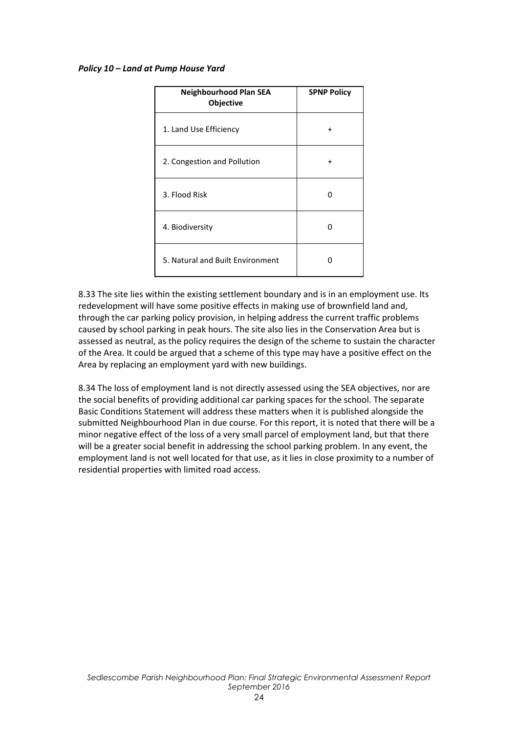#### *Policy 10 – Land at Pump House Yard*

| <b>Neighbourhood Plan SEA</b><br>Objective | <b>SPNP Policy</b> |
|--------------------------------------------|--------------------|
| 1. Land Use Efficiency                     | $\div$             |
| 2. Congestion and Pollution                |                    |
| 3. Flood Risk                              | n                  |
| 4. Biodiversity                            |                    |
| 5. Natural and Built Environment           |                    |

8.33 The site lies within the existing settlement boundary and is in an employment use. Its redevelopment will have some positive effects in making use of brownfield land and, through the car parking policy provision, in helping address the current traffic problems caused by school parking in peak hours. The site also lies in the Conservation Area but is assessed as neutral, as the policy requires the design of the scheme to sustain the character of the Area. It could be argued that a scheme of this type may have a positive effect on the Area by replacing an employment yard with new buildings.

8.34 The loss of employment land is not directly assessed using the SEA objectives, nor are the social benefits of providing additional car parking spaces for the school. The separate Basic Conditions Statement will address these matters when it is published alongside the submitted Neighbourhood Plan in due course. For this report, it is noted that there will be a minor negative effect of the loss of a very small parcel of employment land, but that there will be a greater social benefit in addressing the school parking problem. In any event, the employment land is not well located for that use, as it lies in close proximity to a number of residential properties with limited road access.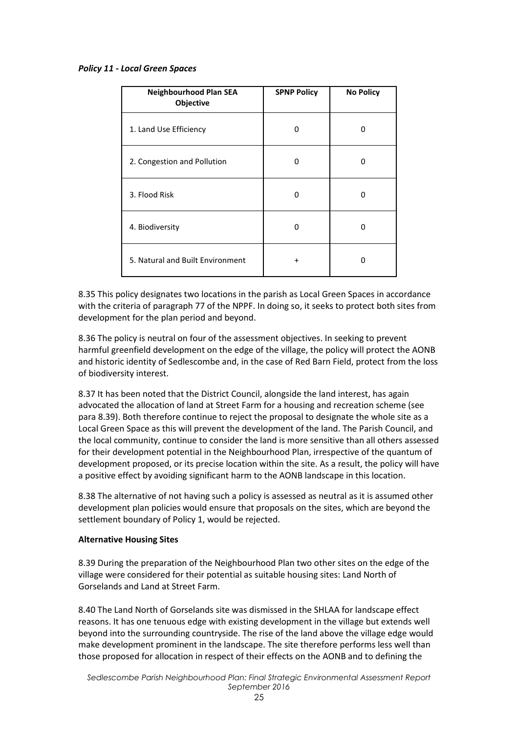#### *Policy 11 - Local Green Spaces*

| <b>Neighbourhood Plan SEA</b><br>Objective | <b>SPNP Policy</b> | <b>No Policy</b> |
|--------------------------------------------|--------------------|------------------|
| 1. Land Use Efficiency                     | n                  | n                |
| 2. Congestion and Pollution                | 0                  | 0                |
| 3. Flood Risk                              | O                  | n                |
| 4. Biodiversity                            | n                  | n                |
| 5. Natural and Built Environment           | $\ddot{}$          | n                |

8.35 This policy designates two locations in the parish as Local Green Spaces in accordance with the criteria of paragraph 77 of the NPPF. In doing so, it seeks to protect both sites from development for the plan period and beyond.

8.36 The policy is neutral on four of the assessment objectives. In seeking to prevent harmful greenfield development on the edge of the village, the policy will protect the AONB and historic identity of Sedlescombe and, in the case of Red Barn Field, protect from the loss of biodiversity interest.

8.37 It has been noted that the District Council, alongside the land interest, has again advocated the allocation of land at Street Farm for a housing and recreation scheme (see para 8.39). Both therefore continue to reject the proposal to designate the whole site as a Local Green Space as this will prevent the development of the land. The Parish Council, and the local community, continue to consider the land is more sensitive than all others assessed for their development potential in the Neighbourhood Plan, irrespective of the quantum of development proposed, or its precise location within the site. As a result, the policy will have a positive effect by avoiding significant harm to the AONB landscape in this location.

8.38 The alternative of not having such a policy is assessed as neutral as it is assumed other development plan policies would ensure that proposals on the sites, which are beyond the settlement boundary of Policy 1, would be rejected.

#### **Alternative Housing Sites**

8.39 During the preparation of the Neighbourhood Plan two other sites on the edge of the village were considered for their potential as suitable housing sites: Land North of Gorselands and Land at Street Farm.

8.40 The Land North of Gorselands site was dismissed in the SHLAA for landscape effect reasons. It has one tenuous edge with existing development in the village but extends well beyond into the surrounding countryside. The rise of the land above the village edge would make development prominent in the landscape. The site therefore performs less well than those proposed for allocation in respect of their effects on the AONB and to defining the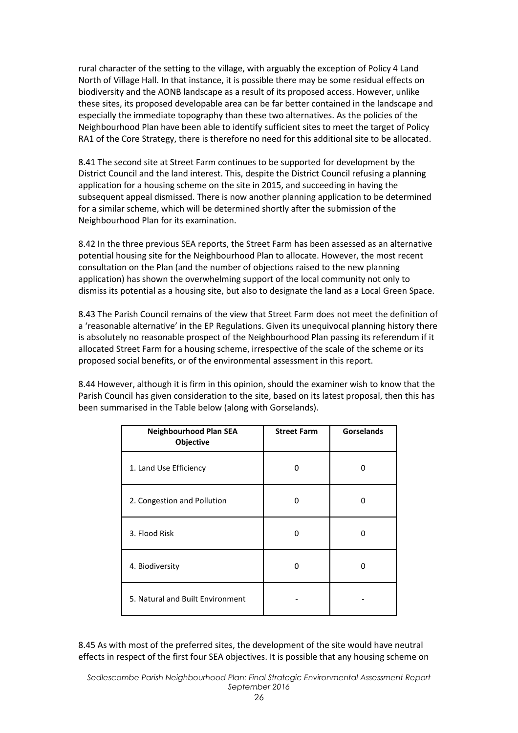rural character of the setting to the village, with arguably the exception of Policy 4 Land North of Village Hall. In that instance, it is possible there may be some residual effects on biodiversity and the AONB landscape as a result of its proposed access. However, unlike these sites, its proposed developable area can be far better contained in the landscape and especially the immediate topography than these two alternatives. As the policies of the Neighbourhood Plan have been able to identify sufficient sites to meet the target of Policy RA1 of the Core Strategy, there is therefore no need for this additional site to be allocated.

8.41 The second site at Street Farm continues to be supported for development by the District Council and the land interest. This, despite the District Council refusing a planning application for a housing scheme on the site in 2015, and succeeding in having the subsequent appeal dismissed. There is now another planning application to be determined for a similar scheme, which will be determined shortly after the submission of the Neighbourhood Plan for its examination.

8.42 In the three previous SEA reports, the Street Farm has been assessed as an alternative potential housing site for the Neighbourhood Plan to allocate. However, the most recent consultation on the Plan (and the number of objections raised to the new planning application) has shown the overwhelming support of the local community not only to dismiss its potential as a housing site, but also to designate the land as a Local Green Space.

8.43 The Parish Council remains of the view that Street Farm does not meet the definition of a 'reasonable alternative' in the EP Regulations. Given its unequivocal planning history there is absolutely no reasonable prospect of the Neighbourhood Plan passing its referendum if it allocated Street Farm for a housing scheme, irrespective of the scale of the scheme or its proposed social benefits, or of the environmental assessment in this report.

8.44 However, although it is firm in this opinion, should the examiner wish to know that the Parish Council has given consideration to the site, based on its latest proposal, then this has been summarised in the Table below (along with Gorselands).

| <b>Neighbourhood Plan SEA</b><br>Objective | <b>Street Farm</b> | <b>Gorselands</b> |
|--------------------------------------------|--------------------|-------------------|
| 1. Land Use Efficiency                     | ŋ                  | ŋ                 |
| 2. Congestion and Pollution                | 0                  | 0                 |
| 3. Flood Risk                              | ŋ                  | O                 |
| 4. Biodiversity                            | n                  | n                 |
| 5. Natural and Built Environment           |                    |                   |

8.45 As with most of the preferred sites, the development of the site would have neutral effects in respect of the first four SEA objectives. It is possible that any housing scheme on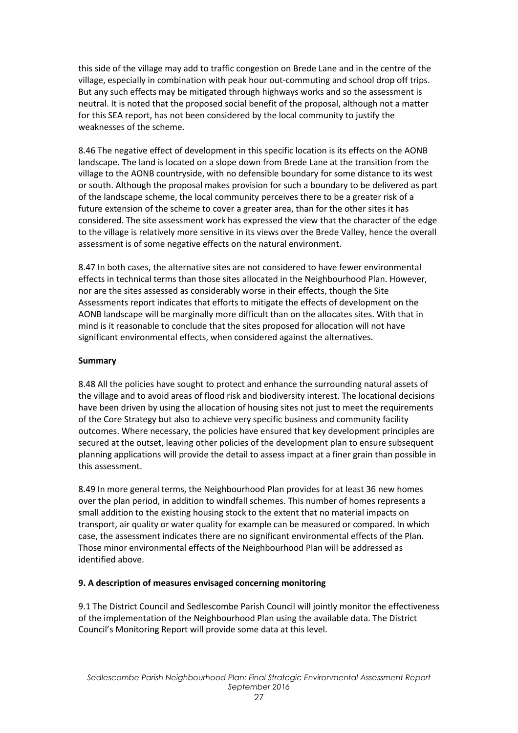this side of the village may add to traffic congestion on Brede Lane and in the centre of the village, especially in combination with peak hour out-commuting and school drop off trips. But any such effects may be mitigated through highways works and so the assessment is neutral. It is noted that the proposed social benefit of the proposal, although not a matter for this SEA report, has not been considered by the local community to justify the weaknesses of the scheme.

8.46 The negative effect of development in this specific location is its effects on the AONB landscape. The land is located on a slope down from Brede Lane at the transition from the village to the AONB countryside, with no defensible boundary for some distance to its west or south. Although the proposal makes provision for such a boundary to be delivered as part of the landscape scheme, the local community perceives there to be a greater risk of a future extension of the scheme to cover a greater area, than for the other sites it has considered. The site assessment work has expressed the view that the character of the edge to the village is relatively more sensitive in its views over the Brede Valley, hence the overall assessment is of some negative effects on the natural environment.

8.47 In both cases, the alternative sites are not considered to have fewer environmental effects in technical terms than those sites allocated in the Neighbourhood Plan. However, nor are the sites assessed as considerably worse in their effects, though the Site Assessments report indicates that efforts to mitigate the effects of development on the AONB landscape will be marginally more difficult than on the allocates sites. With that in mind is it reasonable to conclude that the sites proposed for allocation will not have significant environmental effects, when considered against the alternatives.

#### **Summary**

8.48 All the policies have sought to protect and enhance the surrounding natural assets of the village and to avoid areas of flood risk and biodiversity interest. The locational decisions have been driven by using the allocation of housing sites not just to meet the requirements of the Core Strategy but also to achieve very specific business and community facility outcomes. Where necessary, the policies have ensured that key development principles are secured at the outset, leaving other policies of the development plan to ensure subsequent planning applications will provide the detail to assess impact at a finer grain than possible in this assessment.

8.49 In more general terms, the Neighbourhood Plan provides for at least 36 new homes over the plan period, in addition to windfall schemes. This number of homes represents a small addition to the existing housing stock to the extent that no material impacts on transport, air quality or water quality for example can be measured or compared. In which case, the assessment indicates there are no significant environmental effects of the Plan. Those minor environmental effects of the Neighbourhood Plan will be addressed as identified above.

#### **9. A description of measures envisaged concerning monitoring**

9.1 The District Council and Sedlescombe Parish Council will jointly monitor the effectiveness of the implementation of the Neighbourhood Plan using the available data. The District Council's Monitoring Report will provide some data at this level.